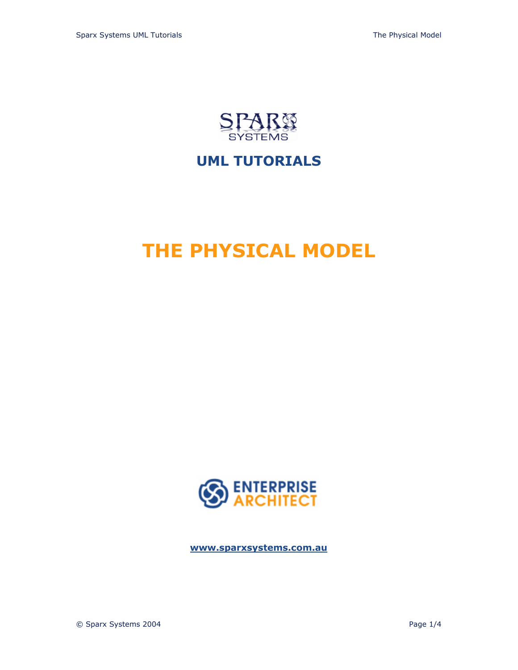

# **UML TUTORIALS**

# **THE PHYSICAL MODEL**



**<www.sparxsystems.com.au>**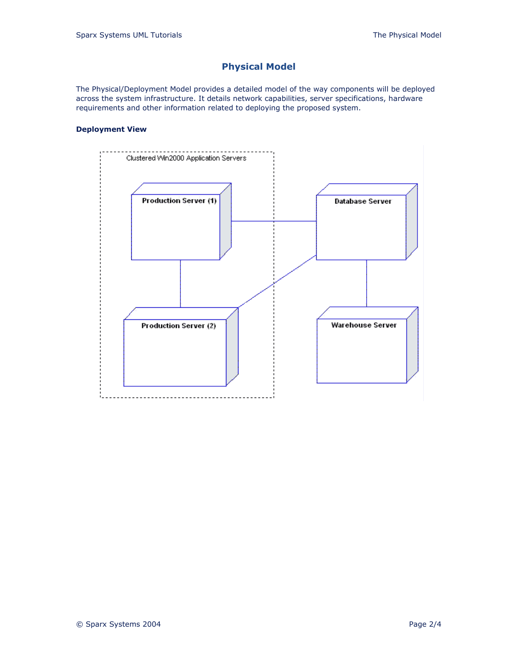## **Physical Model**

The Physical/Deployment Model provides a detailed model of the way components will be deployed across the system infrastructure. It details network capabilities, server specifications, hardware requirements and other information related to deploying the proposed system.

### **Deployment View**

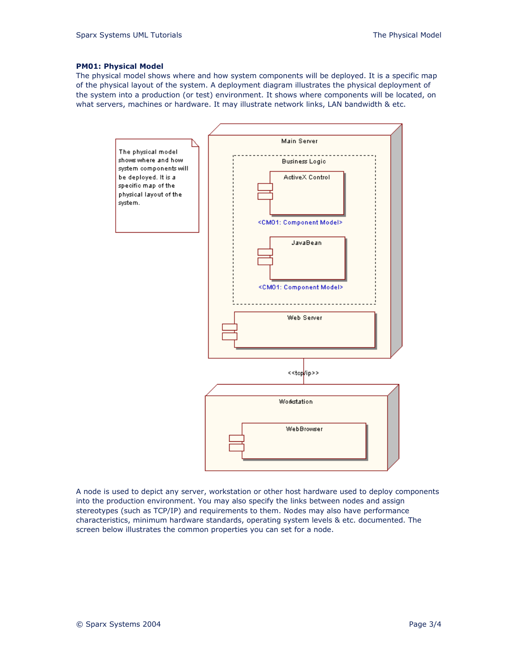#### **PM01: Physical Model**

The physical model shows where and how system components will be deployed. It is a specific map of the physical layout of the system. A deployment diagram illustrates the physical deployment of the system into a production (or test) environment. It shows where components will be located, on what servers, machines or hardware. It may illustrate network links, LAN bandwidth & etc.



A node is used to depict any server, workstation or other host hardware used to deploy components into the production environment. You may also specify the links between nodes and assign stereotypes (such as TCP/IP) and requirements to them. Nodes may also have performance characteristics, minimum hardware standards, operating system levels & etc. documented. The screen below illustrates the common properties you can set for a node.